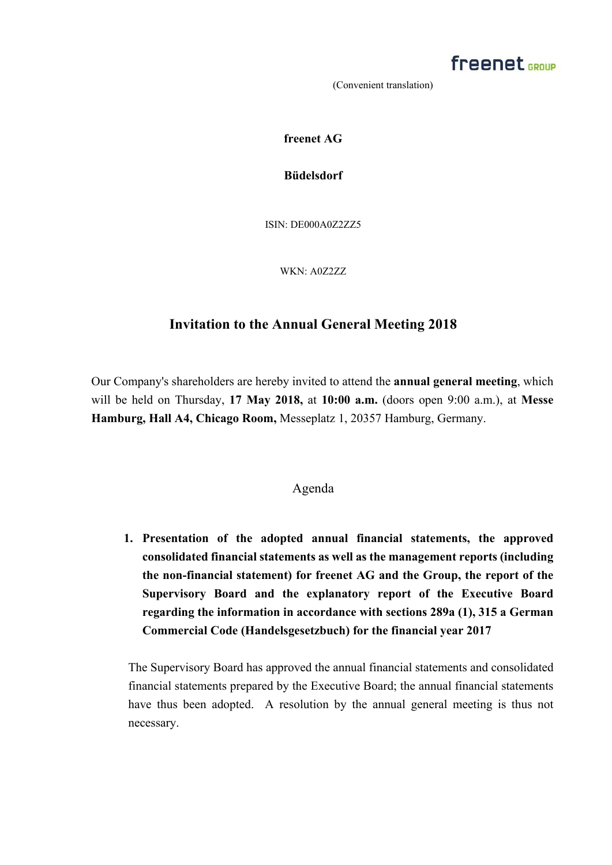

**freenet AG** 

**Büdelsdorf**

ISIN: DE000A0Z2ZZ5

WKN: A0Z2ZZ

## **Invitation to the Annual General Meeting 2018**

Our Company's shareholders are hereby invited to attend the **annual general meeting**, which will be held on Thursday, **17 May 2018,** at **10:00 a.m.** (doors open 9:00 a.m.), at **Messe Hamburg, Hall A4, Chicago Room,** Messeplatz 1, 20357 Hamburg, Germany.

### Agenda

**1. Presentation of the adopted annual financial statements, the approved consolidated financial statements as well as the management reports (including the non-financial statement) for freenet AG and the Group, the report of the Supervisory Board and the explanatory report of the Executive Board regarding the information in accordance with sections 289a (1), 315 a German Commercial Code (Handelsgesetzbuch) for the financial year 2017**

The Supervisory Board has approved the annual financial statements and consolidated financial statements prepared by the Executive Board; the annual financial statements have thus been adopted. A resolution by the annual general meeting is thus not necessary.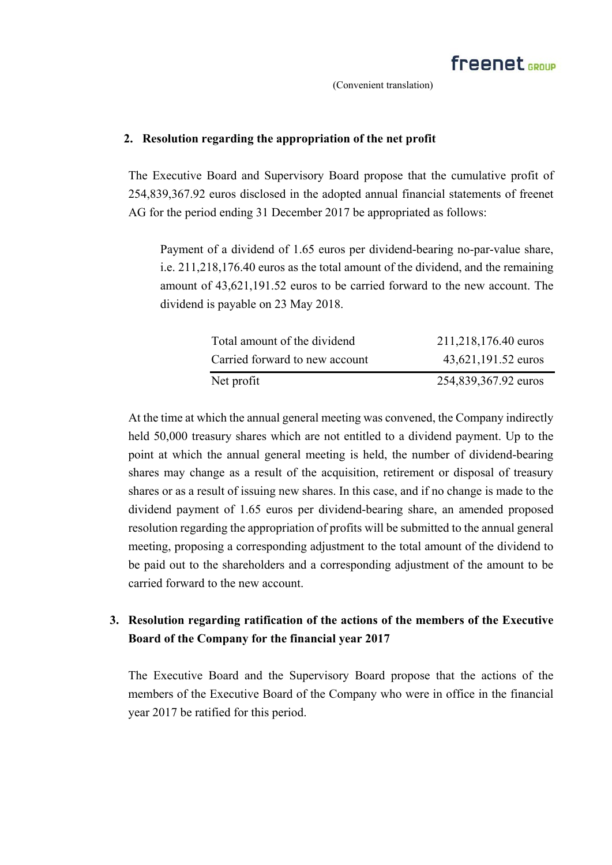### **2. Resolution regarding the appropriation of the net profit**

The Executive Board and Supervisory Board propose that the cumulative profit of 254,839,367.92 euros disclosed in the adopted annual financial statements of freenet AG for the period ending 31 December 2017 be appropriated as follows:

Payment of a dividend of 1.65 euros per dividend-bearing no-par-value share, i.e. 211,218,176.40 euros as the total amount of the dividend, and the remaining amount of 43,621,191.52 euros to be carried forward to the new account. The dividend is payable on 23 May 2018.

| Total amount of the dividend   | 211,218,176.40 euros |
|--------------------------------|----------------------|
| Carried forward to new account | 43,621,191.52 euros  |
| Net profit                     | 254,839,367.92 euros |

At the time at which the annual general meeting was convened, the Company indirectly held 50,000 treasury shares which are not entitled to a dividend payment. Up to the point at which the annual general meeting is held, the number of dividend-bearing shares may change as a result of the acquisition, retirement or disposal of treasury shares or as a result of issuing new shares. In this case, and if no change is made to the dividend payment of 1.65 euros per dividend-bearing share, an amended proposed resolution regarding the appropriation of profits will be submitted to the annual general meeting, proposing a corresponding adjustment to the total amount of the dividend to be paid out to the shareholders and a corresponding adjustment of the amount to be carried forward to the new account.

## **3. Resolution regarding ratification of the actions of the members of the Executive Board of the Company for the financial year 2017**

The Executive Board and the Supervisory Board propose that the actions of the members of the Executive Board of the Company who were in office in the financial year 2017 be ratified for this period.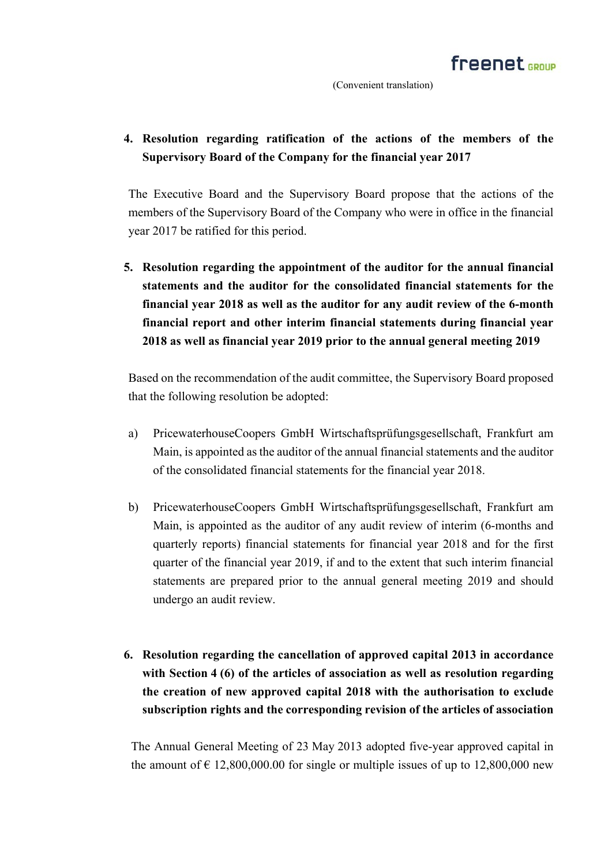## **4. Resolution regarding ratification of the actions of the members of the Supervisory Board of the Company for the financial year 2017**

The Executive Board and the Supervisory Board propose that the actions of the members of the Supervisory Board of the Company who were in office in the financial year 2017 be ratified for this period.

**5. Resolution regarding the appointment of the auditor for the annual financial statements and the auditor for the consolidated financial statements for the financial year 2018 as well as the auditor for any audit review of the 6-month financial report and other interim financial statements during financial year 2018 as well as financial year 2019 prior to the annual general meeting 2019** 

Based on the recommendation of the audit committee, the Supervisory Board proposed that the following resolution be adopted:

- a) PricewaterhouseCoopers GmbH Wirtschaftsprüfungsgesellschaft, Frankfurt am Main, is appointed as the auditor of the annual financial statements and the auditor of the consolidated financial statements for the financial year 2018.
- b) PricewaterhouseCoopers GmbH Wirtschaftsprüfungsgesellschaft, Frankfurt am Main, is appointed as the auditor of any audit review of interim (6-months and quarterly reports) financial statements for financial year 2018 and for the first quarter of the financial year 2019, if and to the extent that such interim financial statements are prepared prior to the annual general meeting 2019 and should undergo an audit review.
- **6. Resolution regarding the cancellation of approved capital 2013 in accordance with Section 4 (6) of the articles of association as well as resolution regarding the creation of new approved capital 2018 with the authorisation to exclude subscription rights and the corresponding revision of the articles of association**

The Annual General Meeting of 23 May 2013 adopted five-year approved capital in the amount of  $\epsilon$  12,800,000.00 for single or multiple issues of up to 12,800,000 new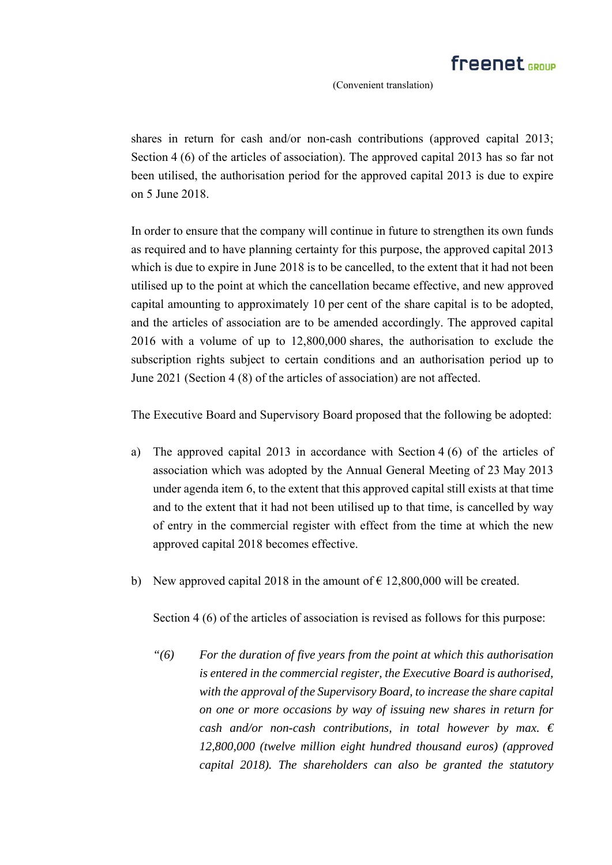shares in return for cash and/or non-cash contributions (approved capital 2013; Section 4 (6) of the articles of association). The approved capital 2013 has so far not been utilised, the authorisation period for the approved capital 2013 is due to expire on 5 June 2018.

In order to ensure that the company will continue in future to strengthen its own funds as required and to have planning certainty for this purpose, the approved capital 2013 which is due to expire in June 2018 is to be cancelled, to the extent that it had not been utilised up to the point at which the cancellation became effective, and new approved capital amounting to approximately 10 per cent of the share capital is to be adopted, and the articles of association are to be amended accordingly. The approved capital 2016 with a volume of up to 12,800,000 shares, the authorisation to exclude the subscription rights subject to certain conditions and an authorisation period up to June 2021 (Section 4 (8) of the articles of association) are not affected.

The Executive Board and Supervisory Board proposed that the following be adopted:

- a) The approved capital 2013 in accordance with Section 4 (6) of the articles of association which was adopted by the Annual General Meeting of 23 May 2013 under agenda item 6, to the extent that this approved capital still exists at that time and to the extent that it had not been utilised up to that time, is cancelled by way of entry in the commercial register with effect from the time at which the new approved capital 2018 becomes effective.
- b) New approved capital 2018 in the amount of  $\epsilon$  12,800,000 will be created.

Section 4 (6) of the articles of association is revised as follows for this purpose:

*"(6) For the duration of five years from the point at which this authorisation is entered in the commercial register, the Executive Board is authorised, with the approval of the Supervisory Board, to increase the share capital on one or more occasions by way of issuing new shares in return for cash and/or non-cash contributions, in total however by max. € 12,800,000 (twelve million eight hundred thousand euros) (approved capital 2018). The shareholders can also be granted the statutory*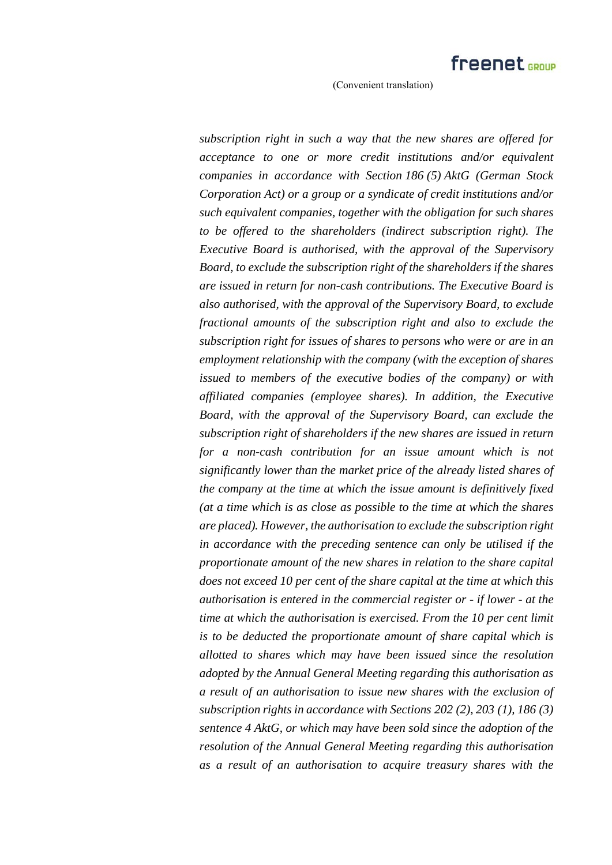*subscription right in such a way that the new shares are offered for acceptance to one or more credit institutions and/or equivalent companies in accordance with Section 186 (5) AktG (German Stock Corporation Act) or a group or a syndicate of credit institutions and/or such equivalent companies, together with the obligation for such shares to be offered to the shareholders (indirect subscription right). The Executive Board is authorised, with the approval of the Supervisory Board, to exclude the subscription right of the shareholders if the shares are issued in return for non-cash contributions. The Executive Board is also authorised, with the approval of the Supervisory Board, to exclude fractional amounts of the subscription right and also to exclude the subscription right for issues of shares to persons who were or are in an employment relationship with the company (with the exception of shares issued to members of the executive bodies of the company) or with affiliated companies (employee shares). In addition, the Executive Board, with the approval of the Supervisory Board, can exclude the subscription right of shareholders if the new shares are issued in return for a non-cash contribution for an issue amount which is not significantly lower than the market price of the already listed shares of the company at the time at which the issue amount is definitively fixed (at a time which is as close as possible to the time at which the shares are placed). However, the authorisation to exclude the subscription right in accordance with the preceding sentence can only be utilised if the proportionate amount of the new shares in relation to the share capital does not exceed 10 per cent of the share capital at the time at which this authorisation is entered in the commercial register or - if lower - at the time at which the authorisation is exercised. From the 10 per cent limit is to be deducted the proportionate amount of share capital which is allotted to shares which may have been issued since the resolution adopted by the Annual General Meeting regarding this authorisation as a result of an authorisation to issue new shares with the exclusion of subscription rights in accordance with Sections 202 (2), 203 (1), 186 (3) sentence 4 AktG, or which may have been sold since the adoption of the resolution of the Annual General Meeting regarding this authorisation as a result of an authorisation to acquire treasury shares with the*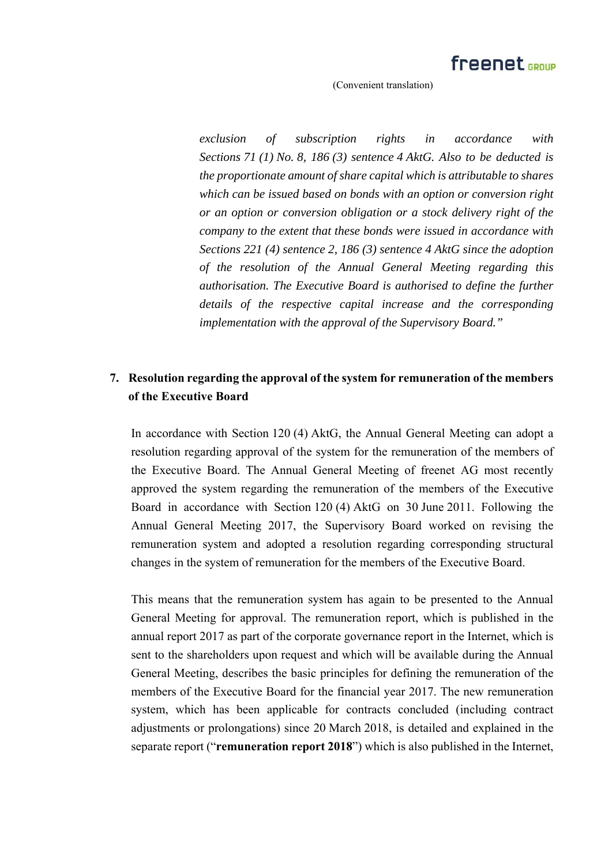*exclusion of subscription rights in accordance with Sections 71 (1) No. 8, 186 (3) sentence 4 AktG. Also to be deducted is the proportionate amount of share capital which is attributable to shares which can be issued based on bonds with an option or conversion right or an option or conversion obligation or a stock delivery right of the company to the extent that these bonds were issued in accordance with Sections 221 (4) sentence 2, 186 (3) sentence 4 AktG since the adoption of the resolution of the Annual General Meeting regarding this authorisation. The Executive Board is authorised to define the further details of the respective capital increase and the corresponding implementation with the approval of the Supervisory Board."* 

## **7. Resolution regarding the approval of the system for remuneration of the members of the Executive Board**

In accordance with Section 120 (4) AktG, the Annual General Meeting can adopt a resolution regarding approval of the system for the remuneration of the members of the Executive Board. The Annual General Meeting of freenet AG most recently approved the system regarding the remuneration of the members of the Executive Board in accordance with Section 120 (4) AktG on 30 June 2011. Following the Annual General Meeting 2017, the Supervisory Board worked on revising the remuneration system and adopted a resolution regarding corresponding structural changes in the system of remuneration for the members of the Executive Board.

This means that the remuneration system has again to be presented to the Annual General Meeting for approval. The remuneration report, which is published in the annual report 2017 as part of the corporate governance report in the Internet, which is sent to the shareholders upon request and which will be available during the Annual General Meeting, describes the basic principles for defining the remuneration of the members of the Executive Board for the financial year 2017. The new remuneration system, which has been applicable for contracts concluded (including contract adjustments or prolongations) since 20 March 2018, is detailed and explained in the separate report ("**remuneration report 2018**") which is also published in the Internet,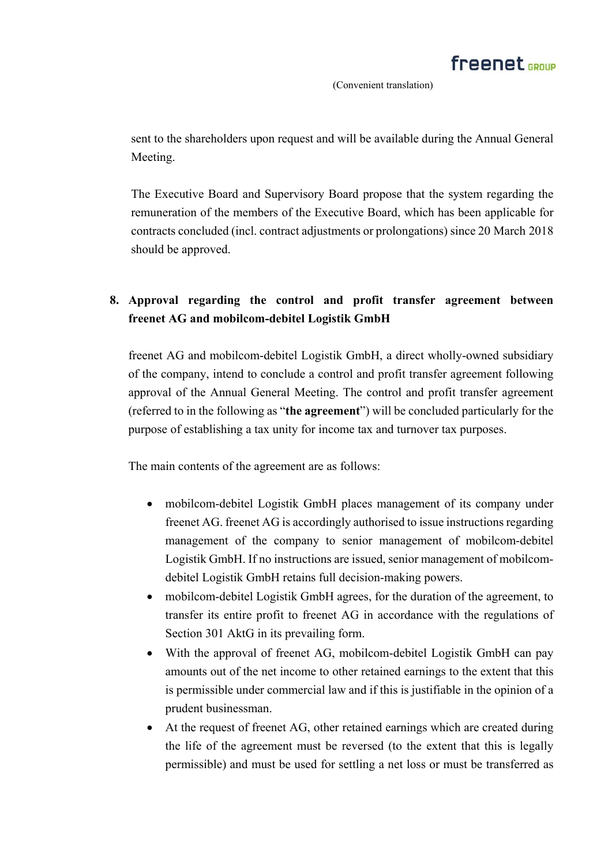sent to the shareholders upon request and will be available during the Annual General Meeting.

The Executive Board and Supervisory Board propose that the system regarding the remuneration of the members of the Executive Board, which has been applicable for contracts concluded (incl. contract adjustments or prolongations) since 20 March 2018 should be approved.

# **8. Approval regarding the control and profit transfer agreement between freenet AG and mobilcom-debitel Logistik GmbH**

freenet AG and mobilcom-debitel Logistik GmbH, a direct wholly-owned subsidiary of the company, intend to conclude a control and profit transfer agreement following approval of the Annual General Meeting. The control and profit transfer agreement (referred to in the following as "**the agreement**") will be concluded particularly for the purpose of establishing a tax unity for income tax and turnover tax purposes.

The main contents of the agreement are as follows:

- mobilcom-debitel Logistik GmbH places management of its company under freenet AG. freenet AG is accordingly authorised to issue instructions regarding management of the company to senior management of mobilcom-debitel Logistik GmbH. If no instructions are issued, senior management of mobilcomdebitel Logistik GmbH retains full decision-making powers.
- mobilcom-debitel Logistik GmbH agrees, for the duration of the agreement, to transfer its entire profit to freenet AG in accordance with the regulations of Section 301 AktG in its prevailing form.
- With the approval of freenet AG, mobilcom-debitel Logistik GmbH can pay amounts out of the net income to other retained earnings to the extent that this is permissible under commercial law and if this is justifiable in the opinion of a prudent businessman.
- At the request of freenet AG, other retained earnings which are created during the life of the agreement must be reversed (to the extent that this is legally permissible) and must be used for settling a net loss or must be transferred as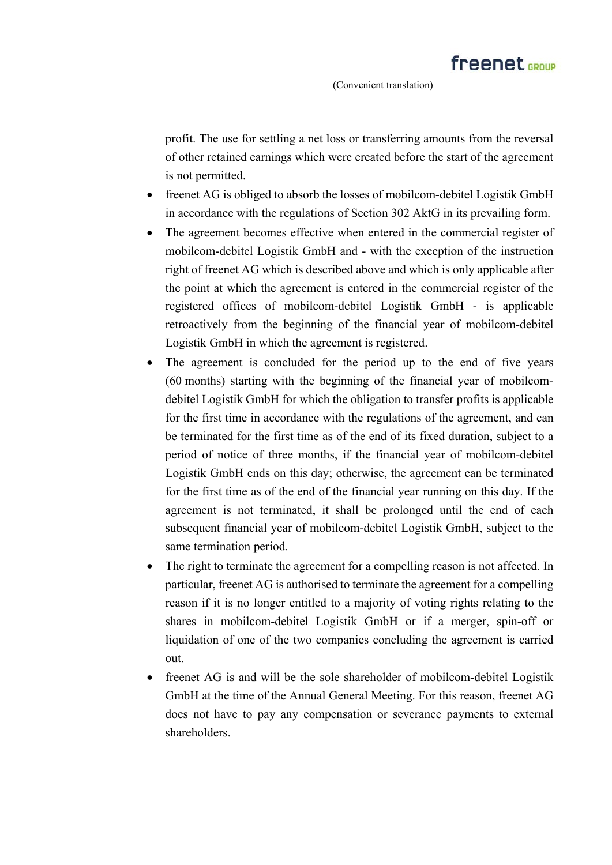profit. The use for settling a net loss or transferring amounts from the reversal of other retained earnings which were created before the start of the agreement is not permitted.

- freenet AG is obliged to absorb the losses of mobilcom-debitel Logistik GmbH in accordance with the regulations of Section 302 AktG in its prevailing form.
- The agreement becomes effective when entered in the commercial register of mobilcom-debitel Logistik GmbH and - with the exception of the instruction right of freenet AG which is described above and which is only applicable after the point at which the agreement is entered in the commercial register of the registered offices of mobilcom-debitel Logistik GmbH - is applicable retroactively from the beginning of the financial year of mobilcom-debitel Logistik GmbH in which the agreement is registered.
- The agreement is concluded for the period up to the end of five years (60 months) starting with the beginning of the financial year of mobilcomdebitel Logistik GmbH for which the obligation to transfer profits is applicable for the first time in accordance with the regulations of the agreement, and can be terminated for the first time as of the end of its fixed duration, subject to a period of notice of three months, if the financial year of mobilcom-debitel Logistik GmbH ends on this day; otherwise, the agreement can be terminated for the first time as of the end of the financial year running on this day. If the agreement is not terminated, it shall be prolonged until the end of each subsequent financial year of mobilcom-debitel Logistik GmbH, subject to the same termination period.
- The right to terminate the agreement for a compelling reason is not affected. In particular, freenet AG is authorised to terminate the agreement for a compelling reason if it is no longer entitled to a majority of voting rights relating to the shares in mobilcom-debitel Logistik GmbH or if a merger, spin-off or liquidation of one of the two companies concluding the agreement is carried out.
- freenet AG is and will be the sole shareholder of mobilcom-debitel Logistik GmbH at the time of the Annual General Meeting. For this reason, freenet AG does not have to pay any compensation or severance payments to external shareholders.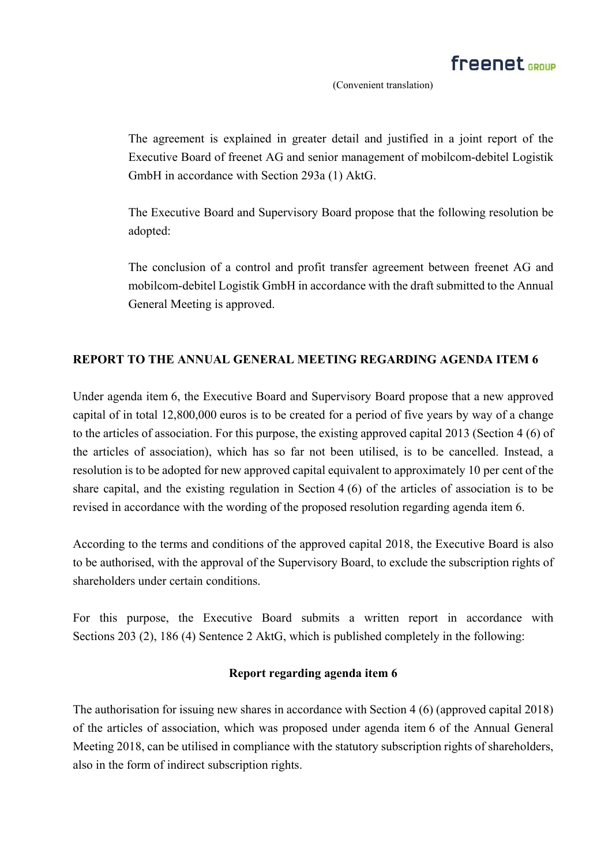The agreement is explained in greater detail and justified in a joint report of the Executive Board of freenet AG and senior management of mobilcom-debitel Logistik GmbH in accordance with Section 293a (1) AktG.

The Executive Board and Supervisory Board propose that the following resolution be adopted:

The conclusion of a control and profit transfer agreement between freenet AG and mobilcom-debitel Logistik GmbH in accordance with the draft submitted to the Annual General Meeting is approved.

## **REPORT TO THE ANNUAL GENERAL MEETING REGARDING AGENDA ITEM 6**

Under agenda item 6, the Executive Board and Supervisory Board propose that a new approved capital of in total 12,800,000 euros is to be created for a period of five years by way of a change to the articles of association. For this purpose, the existing approved capital 2013 (Section 4 (6) of the articles of association), which has so far not been utilised, is to be cancelled. Instead, a resolution is to be adopted for new approved capital equivalent to approximately 10 per cent of the share capital, and the existing regulation in Section 4 (6) of the articles of association is to be revised in accordance with the wording of the proposed resolution regarding agenda item 6.

According to the terms and conditions of the approved capital 2018, the Executive Board is also to be authorised, with the approval of the Supervisory Board, to exclude the subscription rights of shareholders under certain conditions.

For this purpose, the Executive Board submits a written report in accordance with Sections 203 (2), 186 (4) Sentence 2 AktG, which is published completely in the following:

### **Report regarding agenda item 6**

The authorisation for issuing new shares in accordance with Section 4 (6) (approved capital 2018) of the articles of association, which was proposed under agenda item 6 of the Annual General Meeting 2018, can be utilised in compliance with the statutory subscription rights of shareholders, also in the form of indirect subscription rights.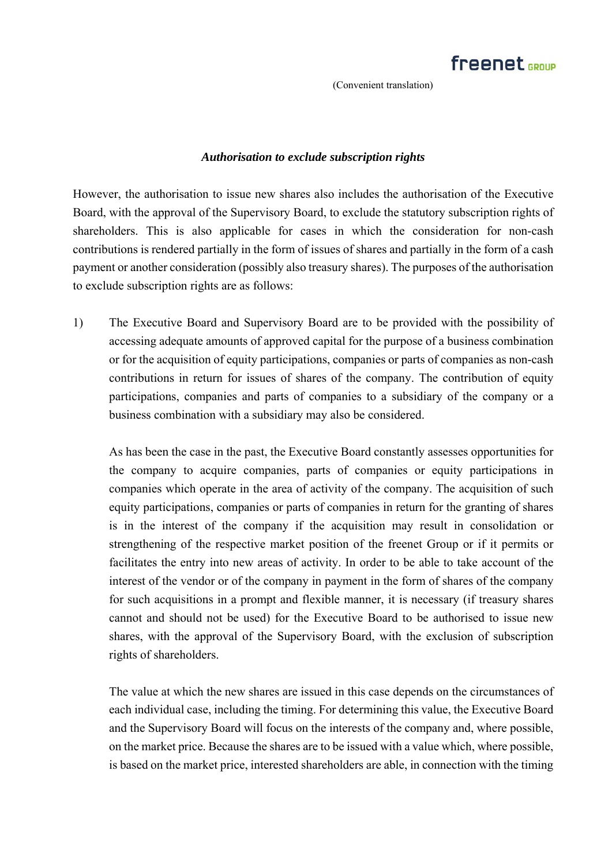#### *Authorisation to exclude subscription rights*

However, the authorisation to issue new shares also includes the authorisation of the Executive Board, with the approval of the Supervisory Board, to exclude the statutory subscription rights of shareholders. This is also applicable for cases in which the consideration for non-cash contributions is rendered partially in the form of issues of shares and partially in the form of a cash payment or another consideration (possibly also treasury shares). The purposes of the authorisation to exclude subscription rights are as follows:

1) The Executive Board and Supervisory Board are to be provided with the possibility of accessing adequate amounts of approved capital for the purpose of a business combination or for the acquisition of equity participations, companies or parts of companies as non-cash contributions in return for issues of shares of the company. The contribution of equity participations, companies and parts of companies to a subsidiary of the company or a business combination with a subsidiary may also be considered.

As has been the case in the past, the Executive Board constantly assesses opportunities for the company to acquire companies, parts of companies or equity participations in companies which operate in the area of activity of the company. The acquisition of such equity participations, companies or parts of companies in return for the granting of shares is in the interest of the company if the acquisition may result in consolidation or strengthening of the respective market position of the freenet Group or if it permits or facilitates the entry into new areas of activity. In order to be able to take account of the interest of the vendor or of the company in payment in the form of shares of the company for such acquisitions in a prompt and flexible manner, it is necessary (if treasury shares cannot and should not be used) for the Executive Board to be authorised to issue new shares, with the approval of the Supervisory Board, with the exclusion of subscription rights of shareholders.

The value at which the new shares are issued in this case depends on the circumstances of each individual case, including the timing. For determining this value, the Executive Board and the Supervisory Board will focus on the interests of the company and, where possible, on the market price. Because the shares are to be issued with a value which, where possible, is based on the market price, interested shareholders are able, in connection with the timing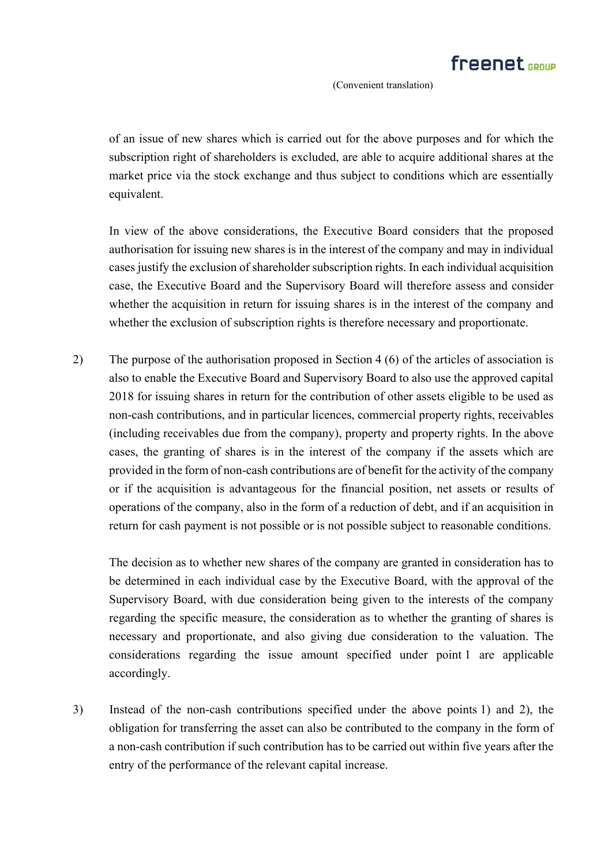of an issue of new shares which is carried out for the above purposes and for which the subscription right of shareholders is excluded, are able to acquire additional shares at the market price via the stock exchange and thus subject to conditions which are essentially equivalent.

In view of the above considerations, the Executive Board considers that the proposed authorisation for issuing new shares is in the interest of the company and may in individual cases justify the exclusion of shareholder subscription rights. In each individual acquisition case, the Executive Board and the Supervisory Board will therefore assess and consider whether the acquisition in return for issuing shares is in the interest of the company and whether the exclusion of subscription rights is therefore necessary and proportionate.

2) The purpose of the authorisation proposed in Section 4 (6) of the articles of association is also to enable the Executive Board and Supervisory Board to also use the approved capital 2018 for issuing shares in return for the contribution of other assets eligible to be used as non-cash contributions, and in particular licences, commercial property rights, receivables (including receivables due from the company), property and property rights. In the above cases, the granting of shares is in the interest of the company if the assets which are provided in the form of non-cash contributions are of benefit for the activity of the company or if the acquisition is advantageous for the financial position, net assets or results of operations of the company, also in the form of a reduction of debt, and if an acquisition in return for cash payment is not possible or is not possible subject to reasonable conditions.

The decision as to whether new shares of the company are granted in consideration has to be determined in each individual case by the Executive Board, with the approval of the Supervisory Board, with due consideration being given to the interests of the company regarding the specific measure, the consideration as to whether the granting of shares is necessary and proportionate, and also giving due consideration to the valuation. The considerations regarding the issue amount specified under point 1 are applicable accordingly.

3) Instead of the non-cash contributions specified under the above points 1) and 2), the obligation for transferring the asset can also be contributed to the company in the form of a non-cash contribution if such contribution has to be carried out within five years after the entry of the performance of the relevant capital increase.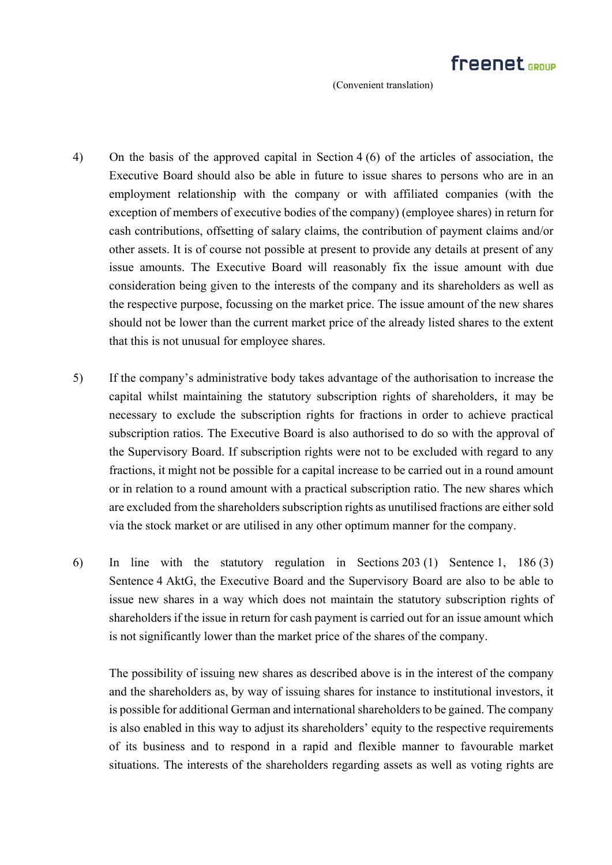- 4) On the basis of the approved capital in Section 4 (6) of the articles of association, the Executive Board should also be able in future to issue shares to persons who are in an employment relationship with the company or with affiliated companies (with the exception of members of executive bodies of the company) (employee shares) in return for cash contributions, offsetting of salary claims, the contribution of payment claims and/or other assets. It is of course not possible at present to provide any details at present of any issue amounts. The Executive Board will reasonably fix the issue amount with due consideration being given to the interests of the company and its shareholders as well as the respective purpose, focussing on the market price. The issue amount of the new shares should not be lower than the current market price of the already listed shares to the extent that this is not unusual for employee shares.
- 5) If the company's administrative body takes advantage of the authorisation to increase the capital whilst maintaining the statutory subscription rights of shareholders, it may be necessary to exclude the subscription rights for fractions in order to achieve practical subscription ratios. The Executive Board is also authorised to do so with the approval of the Supervisory Board. If subscription rights were not to be excluded with regard to any fractions, it might not be possible for a capital increase to be carried out in a round amount or in relation to a round amount with a practical subscription ratio. The new shares which are excluded from the shareholders subscription rights as unutilised fractions are either sold via the stock market or are utilised in any other optimum manner for the company.
- 6) In line with the statutory regulation in Sections 203 (1) Sentence 1, 186 (3) Sentence 4 AktG, the Executive Board and the Supervisory Board are also to be able to issue new shares in a way which does not maintain the statutory subscription rights of shareholders if the issue in return for cash payment is carried out for an issue amount which is not significantly lower than the market price of the shares of the company.

The possibility of issuing new shares as described above is in the interest of the company and the shareholders as, by way of issuing shares for instance to institutional investors, it is possible for additional German and international shareholders to be gained. The company is also enabled in this way to adjust its shareholders' equity to the respective requirements of its business and to respond in a rapid and flexible manner to favourable market situations. The interests of the shareholders regarding assets as well as voting rights are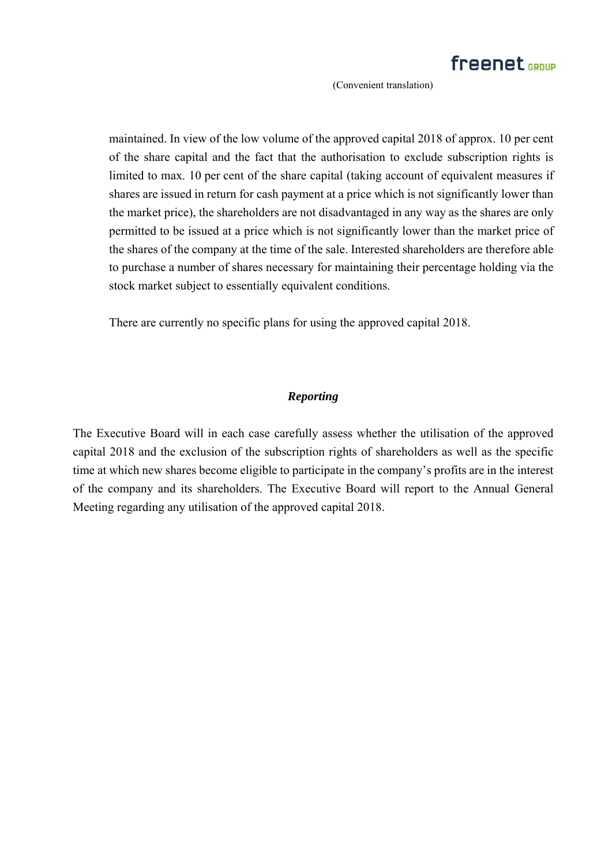maintained. In view of the low volume of the approved capital 2018 of approx. 10 per cent of the share capital and the fact that the authorisation to exclude subscription rights is limited to max. 10 per cent of the share capital (taking account of equivalent measures if shares are issued in return for cash payment at a price which is not significantly lower than the market price), the shareholders are not disadvantaged in any way as the shares are only permitted to be issued at a price which is not significantly lower than the market price of the shares of the company at the time of the sale. Interested shareholders are therefore able to purchase a number of shares necessary for maintaining their percentage holding via the stock market subject to essentially equivalent conditions.

There are currently no specific plans for using the approved capital 2018.

### *Reporting*

The Executive Board will in each case carefully assess whether the utilisation of the approved capital 2018 and the exclusion of the subscription rights of shareholders as well as the specific time at which new shares become eligible to participate in the company's profits are in the interest of the company and its shareholders. The Executive Board will report to the Annual General Meeting regarding any utilisation of the approved capital 2018.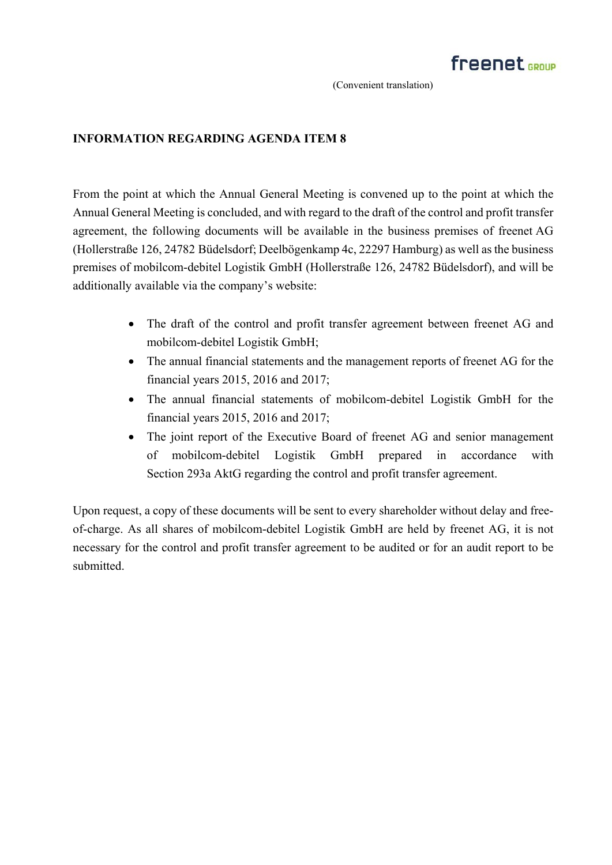### **INFORMATION REGARDING AGENDA ITEM 8**

From the point at which the Annual General Meeting is convened up to the point at which the Annual General Meeting is concluded, and with regard to the draft of the control and profit transfer agreement, the following documents will be available in the business premises of freenet AG (Hollerstraße 126, 24782 Büdelsdorf; Deelbögenkamp 4c, 22297 Hamburg) as well as the business premises of mobilcom-debitel Logistik GmbH (Hollerstraße 126, 24782 Büdelsdorf), and will be additionally available via the company's website:

- The draft of the control and profit transfer agreement between freenet AG and mobilcom-debitel Logistik GmbH;
- The annual financial statements and the management reports of freenet AG for the financial years 2015, 2016 and 2017;
- The annual financial statements of mobilcom-debitel Logistik GmbH for the financial years 2015, 2016 and 2017;
- The joint report of the Executive Board of freenet AG and senior management of mobilcom-debitel Logistik GmbH prepared in accordance with Section 293a AktG regarding the control and profit transfer agreement.

Upon request, a copy of these documents will be sent to every shareholder without delay and freeof-charge. As all shares of mobilcom-debitel Logistik GmbH are held by freenet AG, it is not necessary for the control and profit transfer agreement to be audited or for an audit report to be submitted.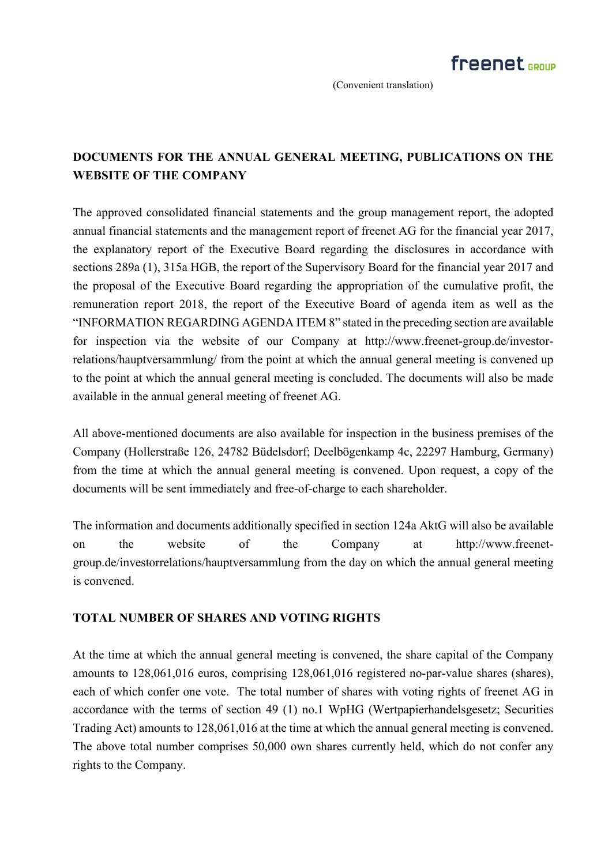# **DOCUMENTS FOR THE ANNUAL GENERAL MEETING, PUBLICATIONS ON THE WEBSITE OF THE COMPANY**

The approved consolidated financial statements and the group management report, the adopted annual financial statements and the management report of freenet AG for the financial year 2017, the explanatory report of the Executive Board regarding the disclosures in accordance with sections 289a (1), 315a HGB, the report of the Supervisory Board for the financial year 2017 and the proposal of the Executive Board regarding the appropriation of the cumulative profit, the remuneration report 2018, the report of the Executive Board of agenda item as well as the "INFORMATION REGARDING AGENDA ITEM 8" stated in the preceding section are available for inspection via the website of our Company at http://www.freenet-group.de/investorrelations/hauptversammlung/ from the point at which the annual general meeting is convened up to the point at which the annual general meeting is concluded. The documents will also be made available in the annual general meeting of freenet AG.

All above-mentioned documents are also available for inspection in the business premises of the Company (Hollerstraße 126, 24782 Büdelsdorf; Deelbögenkamp 4c, 22297 Hamburg, Germany) from the time at which the annual general meeting is convened. Upon request, a copy of the documents will be sent immediately and free-of-charge to each shareholder.

The information and documents additionally specified in section 124a AktG will also be available on the website of the Company at http://www.freenetgroup.de/investorrelations/hauptversammlung from the day on which the annual general meeting is convened.

### **TOTAL NUMBER OF SHARES AND VOTING RIGHTS**

At the time at which the annual general meeting is convened, the share capital of the Company amounts to 128,061,016 euros, comprising 128,061,016 registered no-par-value shares (shares), each of which confer one vote. The total number of shares with voting rights of freenet AG in accordance with the terms of section 49 (1) no.1 WpHG (Wertpapierhandelsgesetz; Securities Trading Act) amounts to 128,061,016 at the time at which the annual general meeting is convened. The above total number comprises 50,000 own shares currently held, which do not confer any rights to the Company.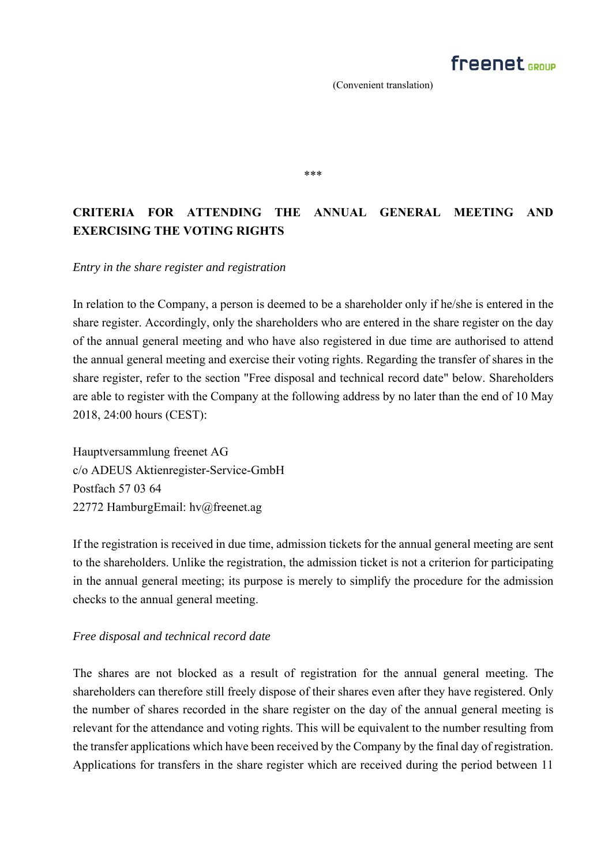\*\*\*

# **CRITERIA FOR ATTENDING THE ANNUAL GENERAL MEETING AND EXERCISING THE VOTING RIGHTS**

#### *Entry in the share register and registration*

In relation to the Company, a person is deemed to be a shareholder only if he/she is entered in the share register. Accordingly, only the shareholders who are entered in the share register on the day of the annual general meeting and who have also registered in due time are authorised to attend the annual general meeting and exercise their voting rights. Regarding the transfer of shares in the share register, refer to the section "Free disposal and technical record date" below. Shareholders are able to register with the Company at the following address by no later than the end of 10 May 2018, 24:00 hours (CEST):

Hauptversammlung freenet AG c/o ADEUS Aktienregister-Service-GmbH Postfach 57 03 64 22772 HamburgEmail: hv@freenet.ag

If the registration is received in due time, admission tickets for the annual general meeting are sent to the shareholders. Unlike the registration, the admission ticket is not a criterion for participating in the annual general meeting; its purpose is merely to simplify the procedure for the admission checks to the annual general meeting.

### *Free disposal and technical record date*

The shares are not blocked as a result of registration for the annual general meeting. The shareholders can therefore still freely dispose of their shares even after they have registered. Only the number of shares recorded in the share register on the day of the annual general meeting is relevant for the attendance and voting rights. This will be equivalent to the number resulting from the transfer applications which have been received by the Company by the final day of registration. Applications for transfers in the share register which are received during the period between 11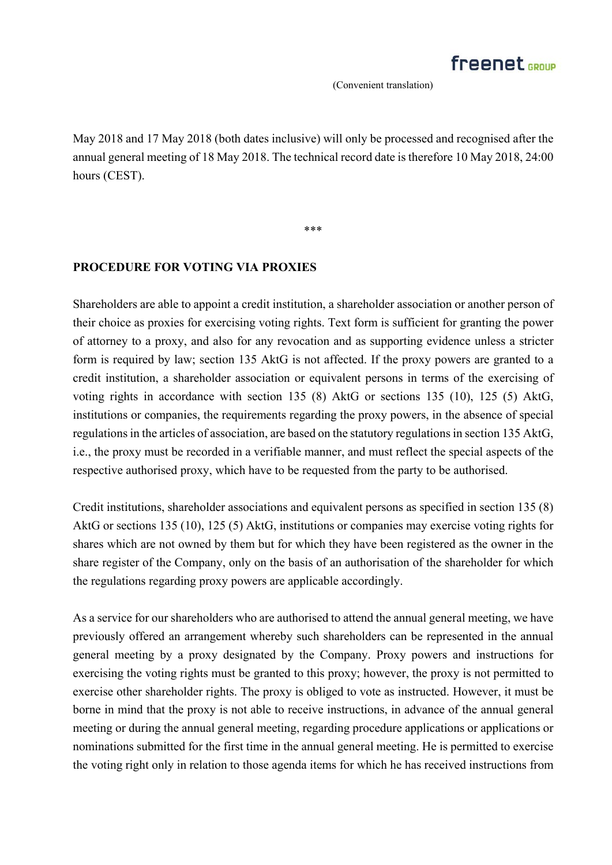May 2018 and 17 May 2018 (both dates inclusive) will only be processed and recognised after the annual general meeting of 18 May 2018. The technical record date is therefore 10 May 2018, 24:00 hours (CEST).

\*\*\*

### **PROCEDURE FOR VOTING VIA PROXIES**

Shareholders are able to appoint a credit institution, a shareholder association or another person of their choice as proxies for exercising voting rights. Text form is sufficient for granting the power of attorney to a proxy, and also for any revocation and as supporting evidence unless a stricter form is required by law; section 135 AktG is not affected. If the proxy powers are granted to a credit institution, a shareholder association or equivalent persons in terms of the exercising of voting rights in accordance with section 135 (8) AktG or sections 135 (10), 125 (5) AktG, institutions or companies, the requirements regarding the proxy powers, in the absence of special regulations in the articles of association, are based on the statutory regulations in section 135 AktG, i.e., the proxy must be recorded in a verifiable manner, and must reflect the special aspects of the respective authorised proxy, which have to be requested from the party to be authorised.

Credit institutions, shareholder associations and equivalent persons as specified in section 135 (8) AktG or sections 135 (10), 125 (5) AktG, institutions or companies may exercise voting rights for shares which are not owned by them but for which they have been registered as the owner in the share register of the Company, only on the basis of an authorisation of the shareholder for which the regulations regarding proxy powers are applicable accordingly.

As a service for our shareholders who are authorised to attend the annual general meeting, we have previously offered an arrangement whereby such shareholders can be represented in the annual general meeting by a proxy designated by the Company. Proxy powers and instructions for exercising the voting rights must be granted to this proxy; however, the proxy is not permitted to exercise other shareholder rights. The proxy is obliged to vote as instructed. However, it must be borne in mind that the proxy is not able to receive instructions, in advance of the annual general meeting or during the annual general meeting, regarding procedure applications or applications or nominations submitted for the first time in the annual general meeting. He is permitted to exercise the voting right only in relation to those agenda items for which he has received instructions from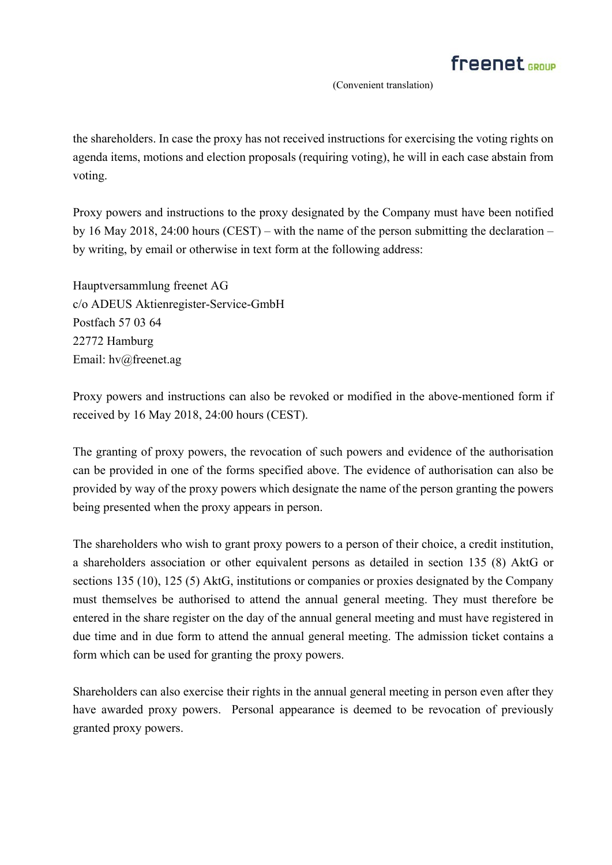the shareholders. In case the proxy has not received instructions for exercising the voting rights on agenda items, motions and election proposals (requiring voting), he will in each case abstain from voting.

Proxy powers and instructions to the proxy designated by the Company must have been notified by 16 May 2018, 24:00 hours (CEST) – with the name of the person submitting the declaration – by writing, by email or otherwise in text form at the following address:

Hauptversammlung freenet AG c/o ADEUS Aktienregister-Service-GmbH Postfach 57 03 64 22772 Hamburg Email: hv@freenet.ag

Proxy powers and instructions can also be revoked or modified in the above-mentioned form if received by 16 May 2018, 24:00 hours (CEST).

The granting of proxy powers, the revocation of such powers and evidence of the authorisation can be provided in one of the forms specified above. The evidence of authorisation can also be provided by way of the proxy powers which designate the name of the person granting the powers being presented when the proxy appears in person.

The shareholders who wish to grant proxy powers to a person of their choice, a credit institution, a shareholders association or other equivalent persons as detailed in section 135 (8) AktG or sections 135 (10), 125 (5) AktG, institutions or companies or proxies designated by the Company must themselves be authorised to attend the annual general meeting. They must therefore be entered in the share register on the day of the annual general meeting and must have registered in due time and in due form to attend the annual general meeting. The admission ticket contains a form which can be used for granting the proxy powers.

Shareholders can also exercise their rights in the annual general meeting in person even after they have awarded proxy powers. Personal appearance is deemed to be revocation of previously granted proxy powers.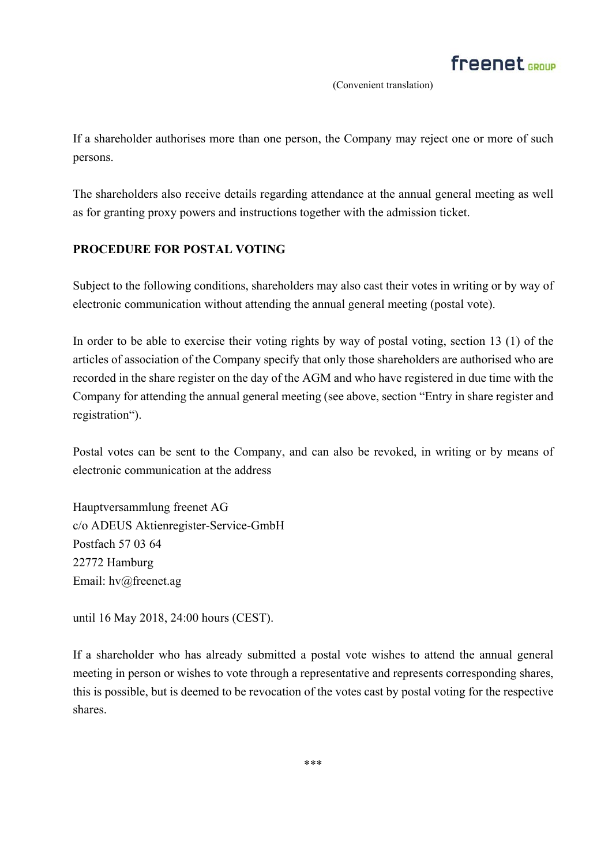If a shareholder authorises more than one person, the Company may reject one or more of such persons.

The shareholders also receive details regarding attendance at the annual general meeting as well as for granting proxy powers and instructions together with the admission ticket.

### **PROCEDURE FOR POSTAL VOTING**

Subject to the following conditions, shareholders may also cast their votes in writing or by way of electronic communication without attending the annual general meeting (postal vote).

In order to be able to exercise their voting rights by way of postal voting, section 13 (1) of the articles of association of the Company specify that only those shareholders are authorised who are recorded in the share register on the day of the AGM and who have registered in due time with the Company for attending the annual general meeting (see above, section "Entry in share register and registration").

Postal votes can be sent to the Company, and can also be revoked, in writing or by means of electronic communication at the address

Hauptversammlung freenet AG c/o ADEUS Aktienregister-Service-GmbH Postfach 57 03 64 22772 Hamburg Email: hv@freenet.ag

until 16 May 2018, 24:00 hours (CEST).

If a shareholder who has already submitted a postal vote wishes to attend the annual general meeting in person or wishes to vote through a representative and represents corresponding shares, this is possible, but is deemed to be revocation of the votes cast by postal voting for the respective shares.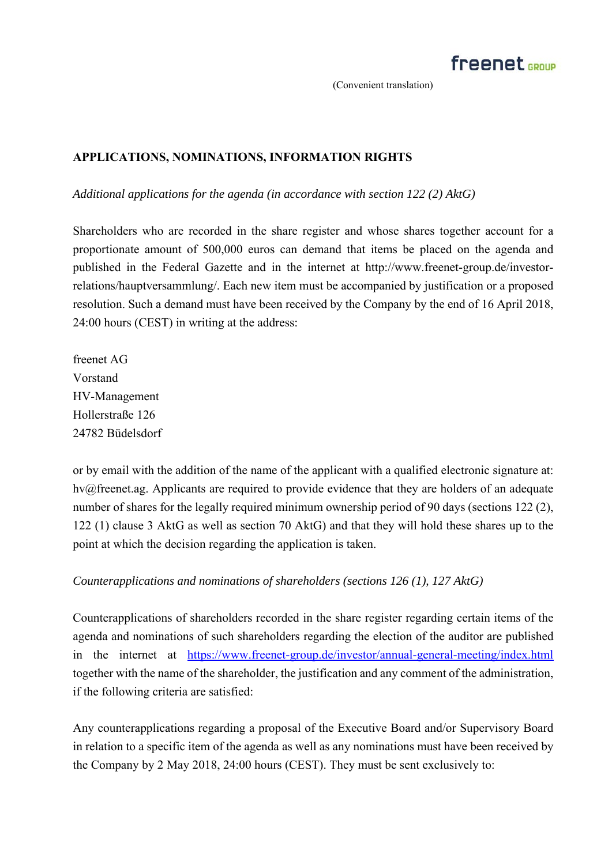## **APPLICATIONS, NOMINATIONS, INFORMATION RIGHTS**

*Additional applications for the agenda (in accordance with section 122 (2) AktG)* 

Shareholders who are recorded in the share register and whose shares together account for a proportionate amount of 500,000 euros can demand that items be placed on the agenda and published in the Federal Gazette and in the internet at http://www.freenet-group.de/investorrelations/hauptversammlung/. Each new item must be accompanied by justification or a proposed resolution. Such a demand must have been received by the Company by the end of 16 April 2018, 24:00 hours (CEST) in writing at the address:

freenet AG Vorstand HV-Management Hollerstraße 126 24782 Büdelsdorf

or by email with the addition of the name of the applicant with a qualified electronic signature at: hv@freenet.ag. Applicants are required to provide evidence that they are holders of an adequate number of shares for the legally required minimum ownership period of 90 days (sections 122 (2), 122 (1) clause 3 AktG as well as section 70 AktG) and that they will hold these shares up to the point at which the decision regarding the application is taken.

### *Counterapplications and nominations of shareholders (sections 126 (1), 127 AktG)*

Counterapplications of shareholders recorded in the share register regarding certain items of the agenda and nominations of such shareholders regarding the election of the auditor are published in the internet at https://www.freenet-group.de/investor/annual-general-meeting/index.html together with the name of the shareholder, the justification and any comment of the administration, if the following criteria are satisfied:

Any counterapplications regarding a proposal of the Executive Board and/or Supervisory Board in relation to a specific item of the agenda as well as any nominations must have been received by the Company by 2 May 2018, 24:00 hours (CEST). They must be sent exclusively to: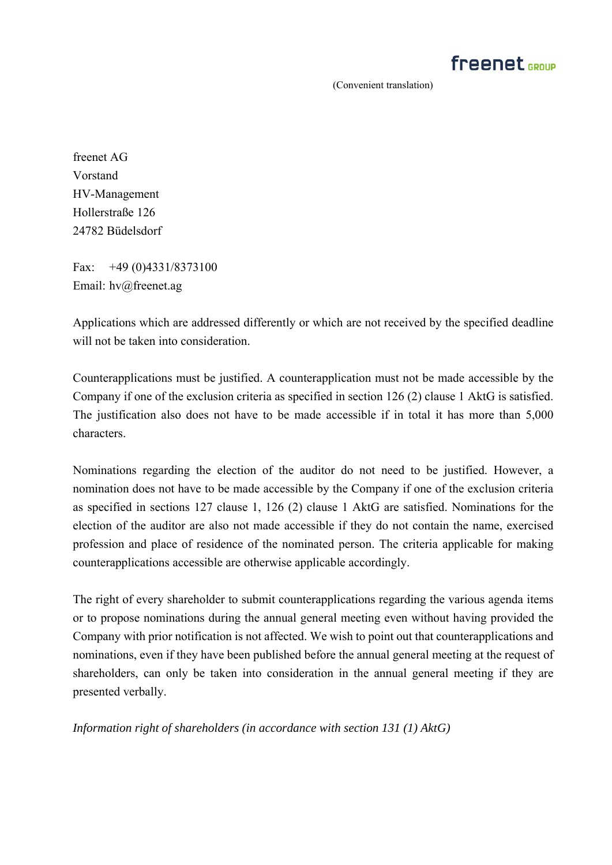

freenet AG Vorstand HV-Management Hollerstraße 126 24782 Büdelsdorf

Fax: +49 (0)4331/8373100 Email: hv@freenet.ag

Applications which are addressed differently or which are not received by the specified deadline will not be taken into consideration.

Counterapplications must be justified. A counterapplication must not be made accessible by the Company if one of the exclusion criteria as specified in section 126 (2) clause 1 AktG is satisfied. The justification also does not have to be made accessible if in total it has more than 5,000 characters.

Nominations regarding the election of the auditor do not need to be justified. However, a nomination does not have to be made accessible by the Company if one of the exclusion criteria as specified in sections 127 clause 1, 126 (2) clause 1 AktG are satisfied. Nominations for the election of the auditor are also not made accessible if they do not contain the name, exercised profession and place of residence of the nominated person. The criteria applicable for making counterapplications accessible are otherwise applicable accordingly.

The right of every shareholder to submit counterapplications regarding the various agenda items or to propose nominations during the annual general meeting even without having provided the Company with prior notification is not affected. We wish to point out that counterapplications and nominations, even if they have been published before the annual general meeting at the request of shareholders, can only be taken into consideration in the annual general meeting if they are presented verbally.

*Information right of shareholders (in accordance with section 131 (1) AktG)*